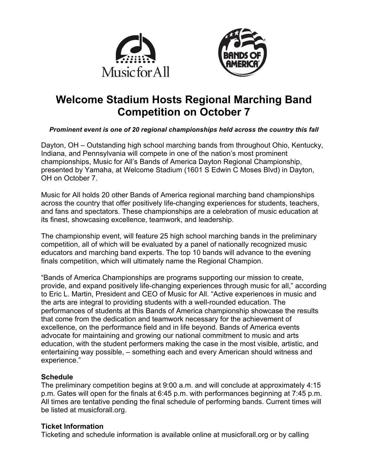



# **Welcome Stadium Hosts Regional Marching Band Competition on October 7**

## *Prominent event is one of 20 regional championships held across the country this fall*

Dayton, OH – Outstanding high school marching bands from throughout Ohio, Kentucky, Indiana, and Pennsylvania will compete in one of the nation's most prominent championships, Music for All's Bands of America Dayton Regional Championship, presented by Yamaha, at Welcome Stadium (1601 S Edwin C Moses Blvd) in Dayton, OH on October 7.

Music for All holds 20 other Bands of America regional marching band championships across the country that offer positively life-changing experiences for students, teachers, and fans and spectators. These championships are a celebration of music education at its finest, showcasing excellence, teamwork, and leadership.

The championship event, will feature 25 high school marching bands in the preliminary competition, all of which will be evaluated by a panel of nationally recognized music educators and marching band experts. The top 10 bands will advance to the evening finals competition, which will ultimately name the Regional Champion.

"Bands of America Championships are programs supporting our mission to create, provide, and expand positively life-changing experiences through music for all," according to Eric L. Martin, President and CEO of Music for All. "Active experiences in music and the arts are integral to providing students with a well-rounded education. The performances of students at this Bands of America championship showcase the results that come from the dedication and teamwork necessary for the achievement of excellence, on the performance field and in life beyond. Bands of America events advocate for maintaining and growing our national commitment to music and arts education, with the student performers making the case in the most visible, artistic, and entertaining way possible, – something each and every American should witness and experience."

## **Schedule**

The preliminary competition begins at 9:00 a.m. and will conclude at approximately 4:15 p.m. Gates will open for the finals at 6:45 p.m. with performances beginning at 7:45 p.m. All times are tentative pending the final schedule of performing bands. Current times will be listed at musicforall.org.

## **Ticket Information**

Ticketing and schedule information is available online at musicforall.org or by calling